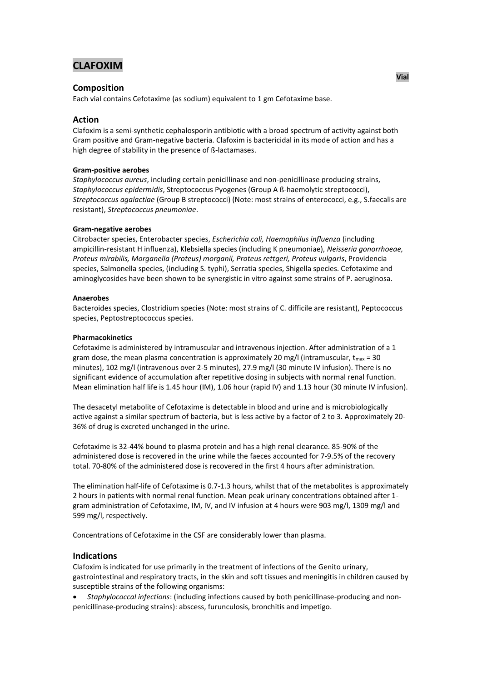# **CLAFOXIM**

# **Composition**

Each vial contains Cefotaxime (as sodium) equivalent to 1 gm Cefotaxime base.

# **Action**

Clafoxim is a semi-synthetic cephalosporin antibiotic with a broad spectrum of activity against both Gram positive and Gram-negative bacteria. Clafoxim is bactericidal in its mode of action and has a high degree of stability in the presence of ß-lactamases.

### **Gram-positive aerobes**

*Staphylococcus aureus*, including certain penicillinase and non-penicillinase producing strains, *Staphylococcus epidermidis*, Streptococcus Pyogenes (Group A ß-haemolytic streptococci), *Streptococcus agalactiae* (Group B streptococci) (Note: most strains of enterococci, e.g., S.faecalis are resistant), *Streptococcus pneumoniae*.

### **Gram-negative aerobes**

Citrobacter species, Enterobacter species, *Escherichia coli, Haemophilus influenza* (including ampicillin-resistant H influenza), Klebsiella species (including K pneumoniae), *Neisseria gonorrhoeae, Proteus mirabilis, Morganella (Proteus) morganii, Proteus rettgeri, Proteus vulgaris*, Providencia species, Salmonella species, (including S. typhi), Serratia species, Shigella species. Cefotaxime and aminoglycosides have been shown to be synergistic in vitro against some strains of P. aeruginosa.

### **Anaerobes**

Bacteroides species, Clostridium species (Note: most strains of C. difficile are resistant), Peptococcus species, Peptostreptococcus species.

### **Pharmacokinetics**

Cefotaxime is administered by intramuscular and intravenous injection. After administration of a 1 gram dose, the mean plasma concentration is approximately 20 mg/l (intramuscular,  $t_{\text{max}} = 30$ minutes), 102 mg/l (intravenous over 2-5 minutes), 27.9 mg/l (30 minute IV infusion). There is no significant evidence of accumulation after repetitive dosing in subjects with normal renal function. Mean elimination half life is 1.45 hour (IM), 1.06 hour (rapid IV) and 1.13 hour (30 minute IV infusion).

The desacetyl metabolite of Cefotaxime is detectable in blood and urine and is microbiologically active against a similar spectrum of bacteria, but is less active by a factor of 2 to 3. Approximately 20- 36% of drug is excreted unchanged in the urine.

Cefotaxime is 32-44% bound to plasma protein and has a high renal clearance. 85-90% of the administered dose is recovered in the urine while the faeces accounted for 7-9.5% of the recovery total. 70-80% of the administered dose is recovered in the first 4 hours after administration.

The elimination half-life of Cefotaxime is 0.7-1.3 hours, whilst that of the metabolites is approximately 2 hours in patients with normal renal function. Mean peak urinary concentrations obtained after 1 gram administration of Cefotaxime, IM, IV, and IV infusion at 4 hours were 903 mg/l, 1309 mg/l and 599 mg/l, respectively.

Concentrations of Cefotaxime in the CSF are considerably lower than plasma.

# **Indications**

Clafoxim is indicated for use primarily in the treatment of infections of the Genito urinary, gastrointestinal and respiratory tracts, in the skin and soft tissues and meningitis in children caused by susceptible strains of the following organisms:

 *Staphylococcal infections*: (including infections caused by both penicillinase-producing and nonpenicillinase-producing strains): abscess, furunculosis, bronchitis and impetigo.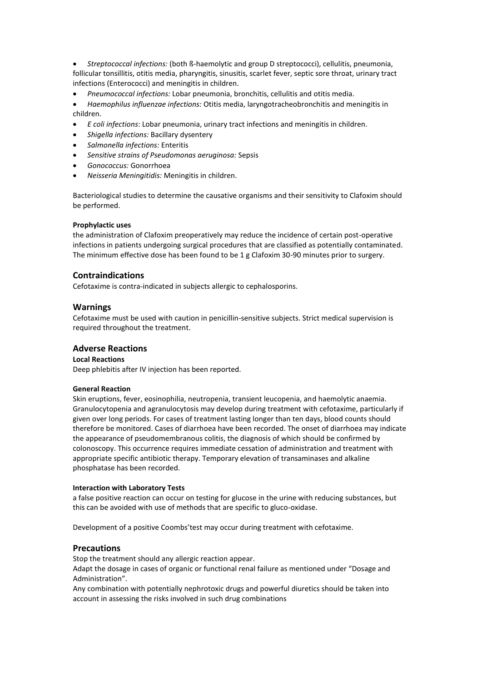*Streptococcal infections:* (both ß-haemolytic and group D streptococci), cellulitis, pneumonia, follicular tonsillitis, otitis media, pharyngitis, sinusitis, scarlet fever, septic sore throat, urinary tract infections (Enterococci) and meningitis in children.

*Pneumococcal infections:* Lobar pneumonia, bronchitis, cellulitis and otitis media.

 *Haemophilus influenzae infections:* Otitis media, laryngotracheobronchitis and meningitis in children.

- *E coli infections*: Lobar pneumonia, urinary tract infections and meningitis in children.
- *Shigella infections:* Bacillary dysentery
- *Salmonella infections:* Enteritis
- *Sensitive strains of Pseudomonas aeruginosa:* Sepsis
- *Gonococcus:* Gonorrhoea
- *Neisseria Meningitidis:* Meningitis in children.

Bacteriological studies to determine the causative organisms and their sensitivity to Clafoxim should be performed.

# **Prophylactic uses**

the administration of Clafoxim preoperatively may reduce the incidence of certain post-operative infections in patients undergoing surgical procedures that are classified as potentially contaminated. The minimum effective dose has been found to be 1 g Clafoxim 30-90 minutes prior to surgery.

### **Contraindications**

Cefotaxime is contra-indicated in subjects allergic to cephalosporins.

### **Warnings**

Cefotaxime must be used with caution in penicillin-sensitive subjects. Strict medical supervision is required throughout the treatment.

# **Adverse Reactions**

# **Local Reactions**

Deep phlebitis after IV injection has been reported.

# **General Reaction**

Skin eruptions, fever, eosinophilia, neutropenia, transient leucopenia, and haemolytic anaemia. Granulocytopenia and agranulocytosis may develop during treatment with cefotaxime, particularly if given over long periods. For cases of treatment lasting longer than ten days, blood counts should therefore be monitored. Cases of diarrhoea have been recorded. The onset of diarrhoea may indicate the appearance of pseudomembranous colitis, the diagnosis of which should be confirmed by colonoscopy. This occurrence requires immediate cessation of administration and treatment with appropriate specific antibiotic therapy. Temporary elevation of transaminases and alkaline phosphatase has been recorded.

#### **Interaction with Laboratory Tests**

a false positive reaction can occur on testing for glucose in the urine with reducing substances, but this can be avoided with use of methods that are specific to gluco-oxidase.

Development of a positive Coombs'test may occur during treatment with cefotaxime.

# **Precautions**

Stop the treatment should any allergic reaction appear.

Adapt the dosage in cases of organic or functional renal failure as mentioned under "Dosage and Administration".

Any combination with potentially nephrotoxic drugs and powerful diuretics should be taken into account in assessing the risks involved in such drug combinations